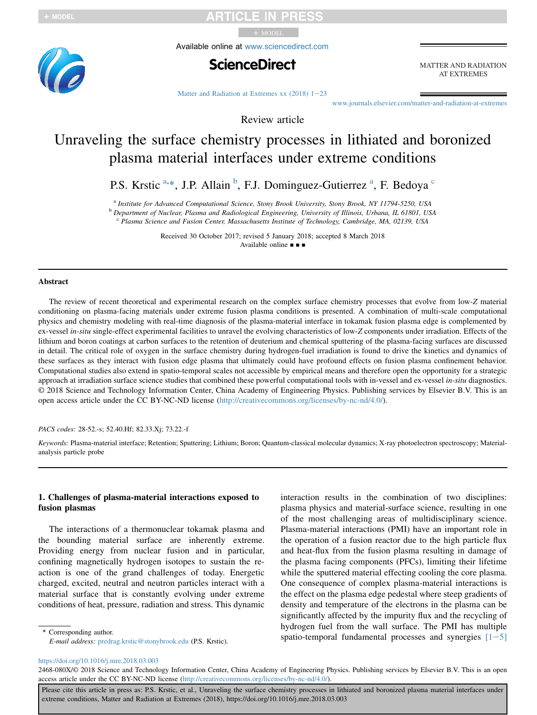+ MODEL



Available online at [www.sciencedirect.com](www.sciencedirect.com/science/journal/2468080X)

## **ScienceDirect**

MATTER AND RADIATION AT EXTREMES

Matter and Radiation at Extremes xx  $(2018)$  1-[23](https://doi.org/10.1016/j.mre.2018.03.003)

[www.journals.elsevier.com/matter-and-radiation-at-extremes](http://www.journals.elsevier.com/matter-and-radiation-at-extremes)

Review article

# Unraveling the surface chemistry processes in lithiated and boronized plasma material interfaces under extreme conditions

P.S. Krstic <sup>a,\*</sup>, J.P. Allain <sup>b</sup>, F.J. Dominguez-Gutierrez<sup>a</sup>, F. Bedoya<sup>c</sup>

<sup>a</sup> Institute for Advanced Computational Science, Stony Brook University, Stony Brook, NY 11794-5250, USA

<sup>b</sup> Department of Nuclear, Plasma and Radiological Engineering, University of Illinois, Urbana, IL 61801, USA

<sup>c</sup> Plasma Science and Fusion Center, Massachusetts Institute of Technology, Cambridge, MA, 02139, USA

Received 30 October 2017; revised 5 January 2018; accepted 8 March 2018 Available online ■ ■ ■

#### Abstract

The review of recent theoretical and experimental research on the complex surface chemistry processes that evolve from low-Z material conditioning on plasma-facing materials under extreme fusion plasma conditions is presented. A combination of multi-scale computational physics and chemistry modeling with real-time diagnosis of the plasma-material interface in tokamak fusion plasma edge is complemented by ex-vessel in-situ single-effect experimental facilities to unravel the evolving characteristics of low-Z components under irradiation. Effects of the lithium and boron coatings at carbon surfaces to the retention of deuterium and chemical sputtering of the plasma-facing surfaces are discussed in detail. The critical role of oxygen in the surface chemistry during hydrogen-fuel irradiation is found to drive the kinetics and dynamics of these surfaces as they interact with fusion edge plasma that ultimately could have profound effects on fusion plasma confinement behavior. Computational studies also extend in spatio-temporal scales not accessible by empirical means and therefore open the opportunity for a strategic approach at irradiation surface science studies that combined these powerful computational tools with in-vessel and ex-vessel in-situ diagnostics. © 2018 Science and Technology Information Center, China Academy of Engineering Physics. Publishing services by Elsevier B.V. This is an open access article under the CC BY-NC-ND license ([http://creativecommons.org/licenses/by-nc-nd/4.0/\)](http://creativecommons.org/licenses/by-nc-nd/4.0/).

#### PACS codes: 28-52.-s; 52.40.Hf; 82.33.Xj; 73.22.-f

Keywords: Plasma-material interface; Retention; Sputtering; Lithium; Boron; Quantum-classical molecular dynamics; X-ray photoelectron spectroscopy; Materialanalysis particle probe

### 1. Challenges of plasma-material interactions exposed to fusion plasmas

The interactions of a thermonuclear tokamak plasma and the bounding material surface are inherently extreme. Providing energy from nuclear fusion and in particular, confining magnetically hydrogen isotopes to sustain the reaction is one of the grand challenges of today. Energetic charged, excited, neutral and neutron particles interact with a material surface that is constantly evolving under extreme conditions of heat, pressure, radiation and stress. This dynamic

interaction results in the combination of two disciplines: plasma physics and material-surface science, resulting in one of the most challenging areas of multidisciplinary science. Plasma-material interactions (PMI) have an important role in the operation of a fusion reactor due to the high particle flux and heat-flux from the fusion plasma resulting in damage of the plasma facing components (PFCs), limiting their lifetime while the sputtered material effecting cooling the core plasma. One consequence of complex plasma-material interactions is the effect on the plasma edge pedestal where steep gradients of density and temperature of the electrons in the plasma can be significantly affected by the impurity flux and the recycling of hydrogen fuel from the wall surface. The PMI has multiple \* Corresponding author.<br>F mail address process are less less included the corresponding author.<br>F mail address processes and synergies [\[1](#page--1-0)–[5\]](#page--1-0)

Please cite this article in press as: P.S. Krstic, et al., Unraveling the surface chemistry processes in lithiated and boronized plasma material interfaces under extreme conditions, Matter and Radiation at Extremes (2018), https://doi.org/10.1016/j.mre.2018.03.003

E-mail address: [predrag.krstic@stonybrook.edu](mailto:predrag.krstic@stonybrook.edu) (P.S. Krstic).

<https://doi.org/10.1016/j.mre.2018.03.003>

<sup>2468-080</sup>X/© 2018 Science and Technology Information Center, China Academy of Engineering Physics. Publishing services by Elsevier B.V. This is an open access article under the CC BY-NC-ND license (<http://creativecommons.org/licenses/by-nc-nd/4.0/>).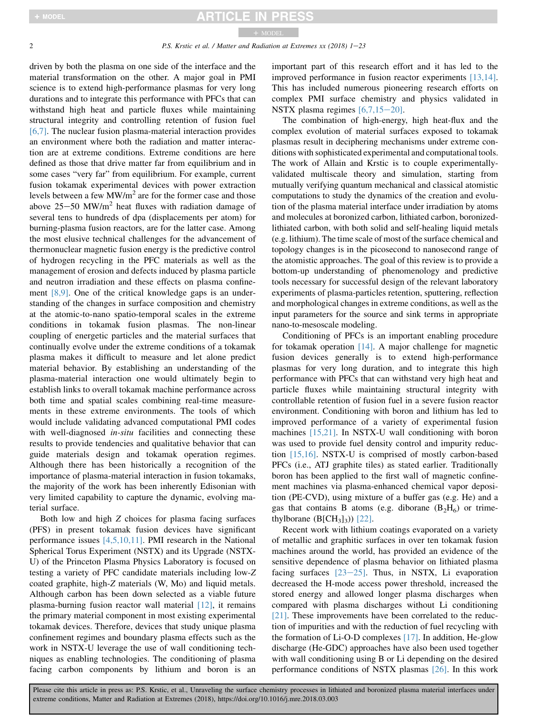+ MODEL

driven by both the plasma on one side of the interface and the material transformation on the other. A major goal in PMI science is to extend high-performance plasmas for very long durations and to integrate this performance with PFCs that can withstand high heat and particle fluxes while maintaining structural integrity and controlling retention of fusion fuel [\[6,7\].](#page--1-0) The nuclear fusion plasma-material interaction provides an environment where both the radiation and matter interaction are at extreme conditions. Extreme conditions are here defined as those that drive matter far from equilibrium and in some cases "very far" from equilibrium. For example, current fusion tokamak experimental devices with power extraction levels between a few  $MW/m<sup>2</sup>$  are for the former case and those above  $25-50$  MW/m<sup>2</sup> heat fluxes with radiation damage of several tens to hundreds of dpa (displacements per atom) for burning-plasma fusion reactors, are for the latter case. Among the most elusive technical challenges for the advancement of thermonuclear magnetic fusion energy is the predictive control of hydrogen recycling in the PFC materials as well as the management of erosion and defects induced by plasma particle and neutron irradiation and these effects on plasma confinement [\[8,9\].](#page--1-0) One of the critical knowledge gaps is an understanding of the changes in surface composition and chemistry at the atomic-to-nano spatio-temporal scales in the extreme conditions in tokamak fusion plasmas. The non-linear coupling of energetic particles and the material surfaces that continually evolve under the extreme conditions of a tokamak plasma makes it difficult to measure and let alone predict material behavior. By establishing an understanding of the plasma-material interaction one would ultimately begin to establish links to overall tokamak machine performance across both time and spatial scales combining real-time measurements in these extreme environments. The tools of which would include validating advanced computational PMI codes with well-diagnosed *in-situ* facilities and connecting these results to provide tendencies and qualitative behavior that can guide materials design and tokamak operation regimes. Although there has been historically a recognition of the importance of plasma-material interaction in fusion tokamaks, the majority of the work has been inherently Edisonian with very limited capability to capture the dynamic, evolving material surface.

Both low and high Z choices for plasma facing surfaces (PFS) in present tokamak fusion devices have significant performance issues [\[4,5,10,11\]](#page--1-0). PMI research in the National Spherical Torus Experiment (NSTX) and its Upgrade (NSTX-U) of the Princeton Plasma Physics Laboratory is focused on testing a variety of PFC candidate materials including low-Z coated graphite, high-Z materials (W, Mo) and liquid metals. Although carbon has been down selected as a viable future plasma-burning fusion reactor wall material [\[12\],](#page--1-0) it remains the primary material component in most existing experimental tokamak devices. Therefore, devices that study unique plasma confinement regimes and boundary plasma effects such as the work in NSTX-U leverage the use of wall conditioning techniques as enabling technologies. The conditioning of plasma facing carbon components by lithium and boron is an

important part of this research effort and it has led to the improved performance in fusion reactor experiments [\[13,14\]](#page--1-0). This has included numerous pioneering research efforts on complex PMI surface chemistry and physics validated in NSTX plasma regimes  $[6,7,15-20]$  $[6,7,15-20]$ .

The combination of high-energy, high heat-flux and the complex evolution of material surfaces exposed to tokamak plasmas result in deciphering mechanisms under extreme conditions with sophisticated experimental and computational tools. The work of Allain and Krstic is to couple experimentallyvalidated multiscale theory and simulation, starting from mutually verifying quantum mechanical and classical atomistic computations to study the dynamics of the creation and evolution of the plasma material interface under irradiation by atoms and molecules at boronized carbon, lithiated carbon, boronizedlithiated carbon, with both solid and self-healing liquid metals (e.g. lithium). The time scale of most of the surface chemical and topology changes is in the picosecond to nanosecond range of the atomistic approaches. The goal of this review is to provide a bottom-up understanding of phenomenology and predictive tools necessary for successful design of the relevant laboratory experiments of plasma-particles retention, sputtering, reflection and morphological changes in extreme conditions, as well as the input parameters for the source and sink terms in appropriate nano-to-mesoscale modeling.

Conditioning of PFCs is an important enabling procedure for tokamak operation [\[14\].](#page--1-0) A major challenge for magnetic fusion devices generally is to extend high-performance plasmas for very long duration, and to integrate this high performance with PFCs that can withstand very high heat and particle fluxes while maintaining structural integrity with controllable retention of fusion fuel in a severe fusion reactor environment. Conditioning with boron and lithium has led to improved performance of a variety of experimental fusion machines [\[15,21\].](#page--1-0) In NSTX-U wall conditioning with boron was used to provide fuel density control and impurity reduction [\[15,16\].](#page--1-0) NSTX-U is comprised of mostly carbon-based PFCs (i.e., ATJ graphite tiles) as stated earlier. Traditionally boron has been applied to the first wall of magnetic confinement machines via plasma-enhanced chemical vapor deposition (PE-CVD), using mixture of a buffer gas (e.g. He) and a gas that contains B atoms (e.g. diborane  $(B_2H_6)$ ) or trimethylborane  $(B[CH_3]_3)$  [\[22\]](#page--1-0).

Recent work with lithium coatings evaporated on a variety of metallic and graphitic surfaces in over ten tokamak fusion machines around the world, has provided an evidence of the sensitive dependence of plasma behavior on lithiated plasma facing surfaces  $[23-25]$  $[23-25]$ . Thus, in NSTX, Li evaporation decreased the H-mode access power threshold, increased the stored energy and allowed longer plasma discharges when compared with plasma discharges without Li conditioning [\[21\]](#page--1-0). These improvements have been correlated to the reduction of impurities and with the reduction of fuel recycling with the formation of Li-O-D complexes [\[17\]](#page--1-0). In addition, He-glow discharge (He-GDC) approaches have also been used together with wall conditioning using B or Li depending on the desired performance conditions of NSTX plasmas [\[26\].](#page--1-0) In this work

Please cite this article in press as: P.S. Krstic, et al., Unraveling the surface chemistry processes in lithiated and boronized plasma material interfaces under extreme conditions, Matter and Radiation at Extremes (2018), https://doi.org/10.1016/j.mre.2018.03.003